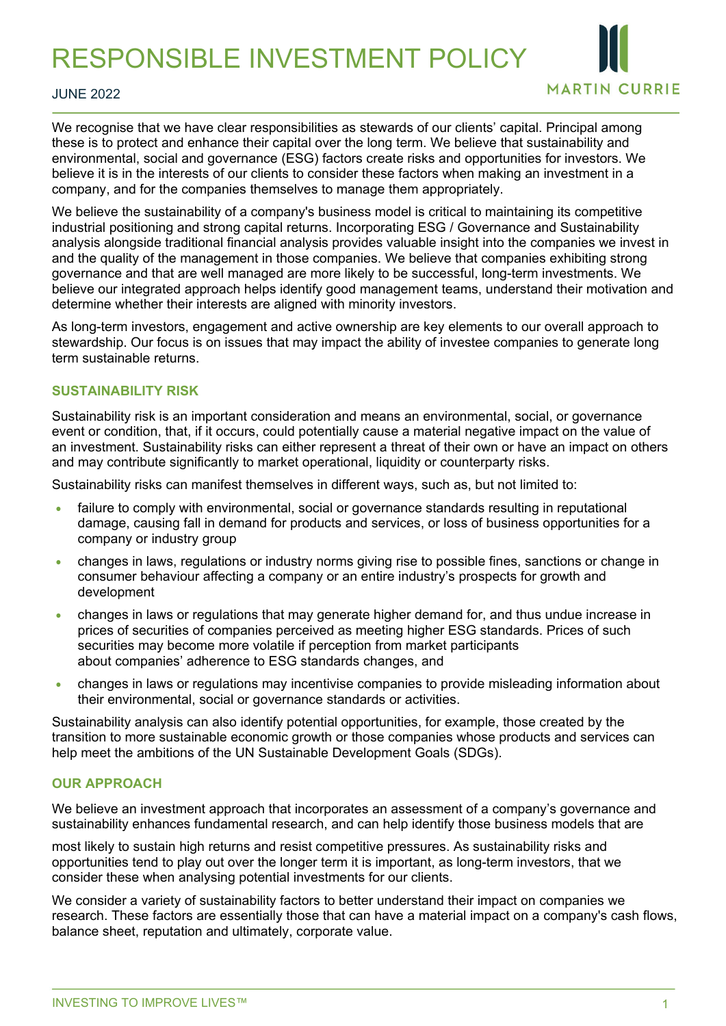RESPONSIBLE INVESTMENT POLICY



#### JUNE 2022

We recognise that we have clear responsibilities as stewards of our clients' capital. Principal among these is to protect and enhance their capital over the long term. We believe that sustainability and environmental, social and governance (ESG) factors create risks and opportunities for investors. We believe it is in the interests of our clients to consider these factors when making an investment in a company, and for the companies themselves to manage them appropriately.

We believe the sustainability of a company's business model is critical to maintaining its competitive industrial positioning and strong capital returns. Incorporating ESG / Governance and Sustainability analysis alongside traditional financial analysis provides valuable insight into the companies we invest in and the quality of the management in those companies. We believe that companies exhibiting strong governance and that are well managed are more likely to be successful, long-term investments. We believe our integrated approach helps identify good management teams, understand their motivation and determine whether their interests are aligned with minority investors.

As long-term investors, engagement and active ownership are key elements to our overall approach to stewardship. Our focus is on issues that may impact the ability of investee companies to generate long term sustainable returns.

### **SUSTAINABILITY RISK**

Sustainability risk is an important consideration and means an environmental, social, or governance event or condition, that, if it occurs, could potentially cause a material negative impact on the value of an investment. Sustainability risks can either represent a threat of their own or have an impact on others and may contribute significantly to market operational, liquidity or counterparty risks.

Sustainability risks can manifest themselves in different ways, such as, but not limited to:

- failure to comply with environmental, social or governance standards resulting in reputational damage, causing fall in demand for products and services, or loss of business opportunities for a company or industry group
- changes in laws, regulations or industry norms giving rise to possible fines, sanctions or change in consumer behaviour affecting a company or an entire industry's prospects for growth and development
- changes in laws or regulations that may generate higher demand for, and thus undue increase in prices of securities of companies perceived as meeting higher ESG standards. Prices of such securities may become more volatile if perception from market participants about companies' adherence to ESG standards changes, and
- changes in laws or regulations may incentivise companies to provide misleading information about their environmental, social or governance standards or activities.

Sustainability analysis can also identify potential opportunities, for example, those created by the transition to more sustainable economic growth or those companies whose products and services can help meet the ambitions of the UN Sustainable Development Goals (SDGs).

### **OUR APPROACH**

We believe an investment approach that incorporates an assessment of a company's governance and sustainability enhances fundamental research, and can help identify those business models that are

most likely to sustain high returns and resist competitive pressures. As sustainability risks and opportunities tend to play out over the longer term it is important, as long-term investors, that we consider these when analysing potential investments for our clients.

We consider a variety of sustainability factors to better understand their impact on companies we research. These factors are essentially those that can have a material impact on a company's cash flows, balance sheet, reputation and ultimately, corporate value.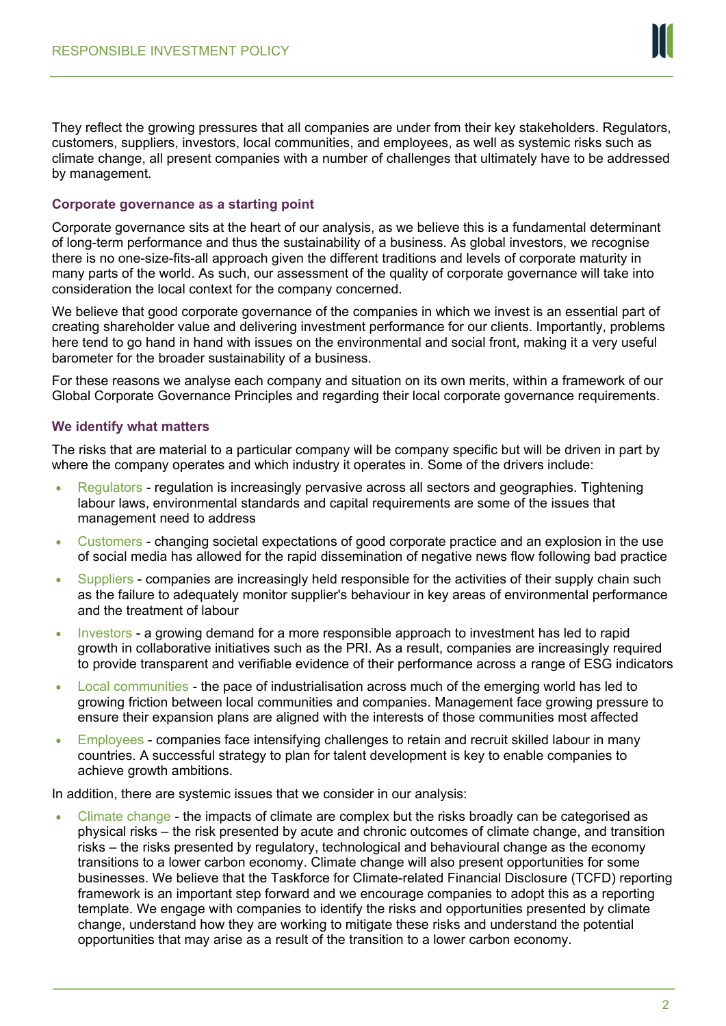

They reflect the growing pressures that all companies are under from their key stakeholders. Regulators, customers, suppliers, investors, local communities, and employees, as well as systemic risks such as climate change, all present companies with a number of challenges that ultimately have to be addressed by management.

## **Corporate governance as a starting point**

Corporate governance sits at the heart of our analysis, as we believe this is a fundamental determinant of long-term performance and thus the sustainability of a business. As global investors, we recognise there is no one-size-fits-all approach given the different traditions and levels of corporate maturity in many parts of the world. As such, our assessment of the quality of corporate governance will take into consideration the local context for the company concerned.

We believe that good corporate governance of the companies in which we invest is an essential part of creating shareholder value and delivering investment performance for our clients. Importantly, problems here tend to go hand in hand with issues on the environmental and social front, making it a very useful barometer for the broader sustainability of a business.

For these reasons we analyse each company and situation on its own merits, within a framework of our Global Corporate Governance Principles and regarding their local corporate governance requirements.

## **We identify what matters**

The risks that are material to a particular company will be company specific but will be driven in part by where the company operates and which industry it operates in. Some of the drivers include:

- Regulators regulation is increasingly pervasive across all sectors and geographies. Tightening labour laws, environmental standards and capital requirements are some of the issues that management need to address
- Customers changing societal expectations of good corporate practice and an explosion in the use of social media has allowed for the rapid dissemination of negative news flow following bad practice
- Suppliers companies are increasingly held responsible for the activities of their supply chain such as the failure to adequately monitor supplier's behaviour in key areas of environmental performance and the treatment of labour
- Investors a growing demand for a more responsible approach to investment has led to rapid growth in collaborative initiatives such as the PRI. As a result, companies are increasingly required to provide transparent and verifiable evidence of their performance across a range of ESG indicators
- Local communities the pace of industrialisation across much of the emerging world has led to growing friction between local communities and companies. Management face growing pressure to ensure their expansion plans are aligned with the interests of those communities most affected
- Employees companies face intensifying challenges to retain and recruit skilled labour in many countries. A successful strategy to plan for talent development is key to enable companies to achieve growth ambitions.

In addition, there are systemic issues that we consider in our analysis:

• Climate change - the impacts of climate are complex but the risks broadly can be categorised as physical risks – the risk presented by acute and chronic outcomes of climate change, and transition risks – the risks presented by regulatory, technological and behavioural change as the economy transitions to a lower carbon economy. Climate change will also present opportunities for some businesses. We believe that the Taskforce for Climate-related Financial Disclosure (TCFD) reporting framework is an important step forward and we encourage companies to adopt this as a reporting template. We engage with companies to identify the risks and opportunities presented by climate change, understand how they are working to mitigate these risks and understand the potential opportunities that may arise as a result of the transition to a lower carbon economy.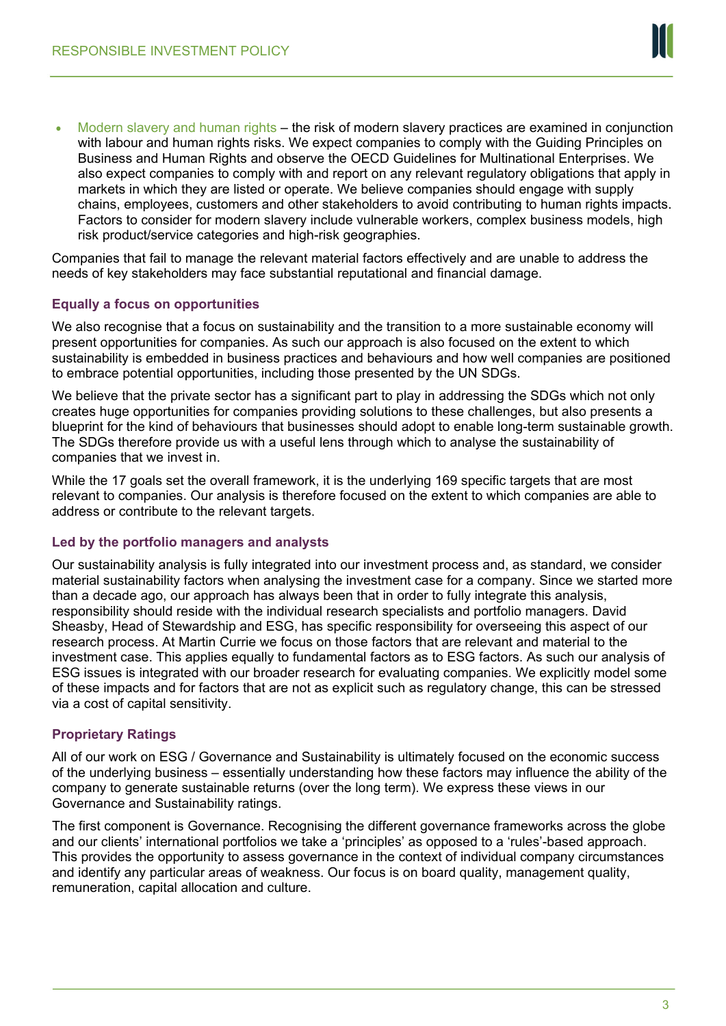

Modern slavery and human rights – the risk of modern slavery practices are examined in conjunction with labour and human rights risks. We expect companies to comply with the Guiding Principles on Business and Human Rights and observe the OECD Guidelines for Multinational Enterprises. We also expect companies to comply with and report on any relevant regulatory obligations that apply in markets in which they are listed or operate. We believe companies should engage with supply chains, employees, customers and other stakeholders to avoid contributing to human rights impacts. Factors to consider for modern slavery include vulnerable workers, complex business models, high risk product/service categories and high-risk geographies.

Companies that fail to manage the relevant material factors effectively and are unable to address the needs of key stakeholders may face substantial reputational and financial damage.

## **Equally a focus on opportunities**

We also recognise that a focus on sustainability and the transition to a more sustainable economy will present opportunities for companies. As such our approach is also focused on the extent to which sustainability is embedded in business practices and behaviours and how well companies are positioned to embrace potential opportunities, including those presented by the UN SDGs.

We believe that the private sector has a significant part to play in addressing the SDGs which not only creates huge opportunities for companies providing solutions to these challenges, but also presents a blueprint for the kind of behaviours that businesses should adopt to enable long-term sustainable growth. The SDGs therefore provide us with a useful lens through which to analyse the sustainability of companies that we invest in.

While the 17 goals set the overall framework, it is the underlying 169 specific targets that are most relevant to companies. Our analysis is therefore focused on the extent to which companies are able to address or contribute to the relevant targets.

## **Led by the portfolio managers and analysts**

Our sustainability analysis is fully integrated into our investment process and, as standard, we consider material sustainability factors when analysing the investment case for a company. Since we started more than a decade ago, our approach has always been that in order to fully integrate this analysis, responsibility should reside with the individual research specialists and portfolio managers. David Sheasby, Head of Stewardship and ESG, has specific responsibility for overseeing this aspect of our research process. At Martin Currie we focus on those factors that are relevant and material to the investment case. This applies equally to fundamental factors as to ESG factors. As such our analysis of ESG issues is integrated with our broader research for evaluating companies. We explicitly model some of these impacts and for factors that are not as explicit such as regulatory change, this can be stressed via a cost of capital sensitivity.

## **Proprietary Ratings**

All of our work on ESG / Governance and Sustainability is ultimately focused on the economic success of the underlying business – essentially understanding how these factors may influence the ability of the company to generate sustainable returns (over the long term). We express these views in our Governance and Sustainability ratings.

The first component is Governance. Recognising the different governance frameworks across the globe and our clients' international portfolios we take a 'principles' as opposed to a 'rules'-based approach. This provides the opportunity to assess governance in the context of individual company circumstances and identify any particular areas of weakness. Our focus is on board quality, management quality, remuneration, capital allocation and culture.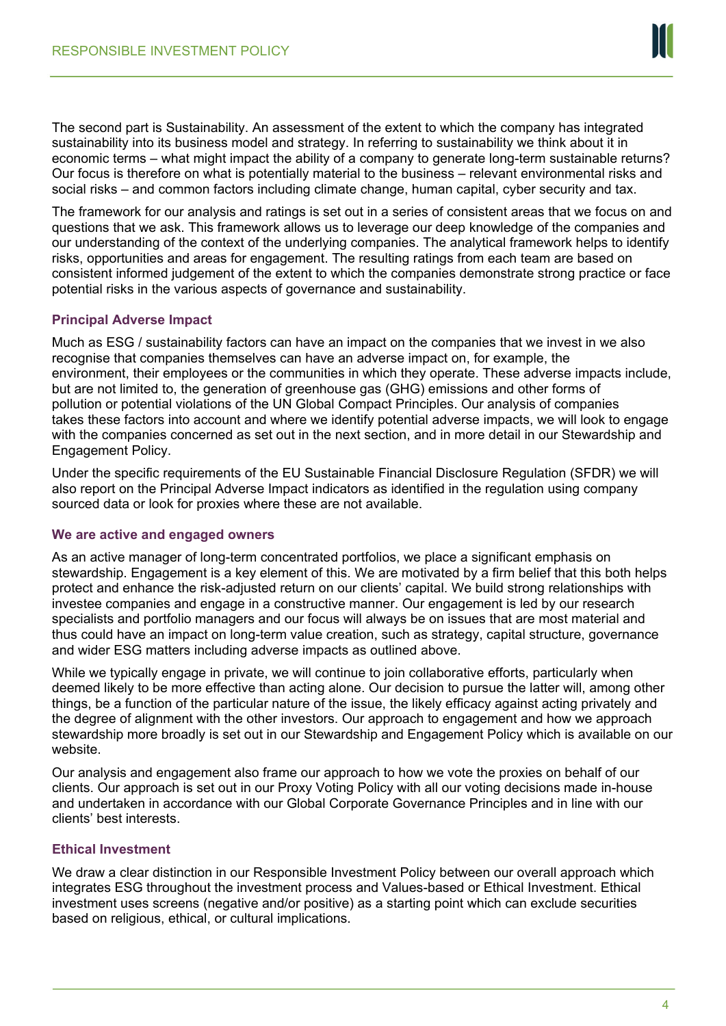

The second part is Sustainability. An assessment of the extent to which the company has integrated sustainability into its business model and strategy. In referring to sustainability we think about it in economic terms – what might impact the ability of a company to generate long-term sustainable returns? Our focus is therefore on what is potentially material to the business – relevant environmental risks and social risks – and common factors including climate change, human capital, cyber security and tax.

The framework for our analysis and ratings is set out in a series of consistent areas that we focus on and questions that we ask. This framework allows us to leverage our deep knowledge of the companies and our understanding of the context of the underlying companies. The analytical framework helps to identify risks, opportunities and areas for engagement. The resulting ratings from each team are based on consistent informed judgement of the extent to which the companies demonstrate strong practice or face potential risks in the various aspects of governance and sustainability.

## **Principal Adverse Impact**

Much as ESG / sustainability factors can have an impact on the companies that we invest in we also recognise that companies themselves can have an adverse impact on, for example, the environment, their employees or the communities in which they operate. These adverse impacts include, but are not limited to, the generation of greenhouse gas (GHG) emissions and other forms of pollution or potential violations of the UN Global Compact Principles. Our analysis of companies takes these factors into account and where we identify potential adverse impacts, we will look to engage with the companies concerned as set out in the next section, and in more detail in our Stewardship and Engagement Policy.

Under the specific requirements of the EU Sustainable Financial Disclosure Regulation (SFDR) we will also report on the Principal Adverse Impact indicators as identified in the regulation using company sourced data or look for proxies where these are not available.

## **We are active and engaged owners**

As an active manager of long-term concentrated portfolios, we place a significant emphasis on stewardship. Engagement is a key element of this. We are motivated by a firm belief that this both helps protect and enhance the risk-adjusted return on our clients' capital. We build strong relationships with investee companies and engage in a constructive manner. Our engagement is led by our research specialists and portfolio managers and our focus will always be on issues that are most material and thus could have an impact on long-term value creation, such as strategy, capital structure, governance and wider ESG matters including adverse impacts as outlined above.

While we typically engage in private, we will continue to join collaborative efforts, particularly when deemed likely to be more effective than acting alone. Our decision to pursue the latter will, among other things, be a function of the particular nature of the issue, the likely efficacy against acting privately and the degree of alignment with the other investors. Our approach to engagement and how we approach stewardship more broadly is set out in our Stewardship and Engagement Policy which is available on our website.

Our analysis and engagement also frame our approach to how we vote the proxies on behalf of our clients. Our approach is set out in our Proxy Voting Policy with all our voting decisions made in-house and undertaken in accordance with our Global Corporate Governance Principles and in line with our clients' best interests.

## **Ethical Investment**

We draw a clear distinction in our Responsible Investment Policy between our overall approach which integrates ESG throughout the investment process and Values-based or Ethical Investment. Ethical investment uses screens (negative and/or positive) as a starting point which can exclude securities based on religious, ethical, or cultural implications.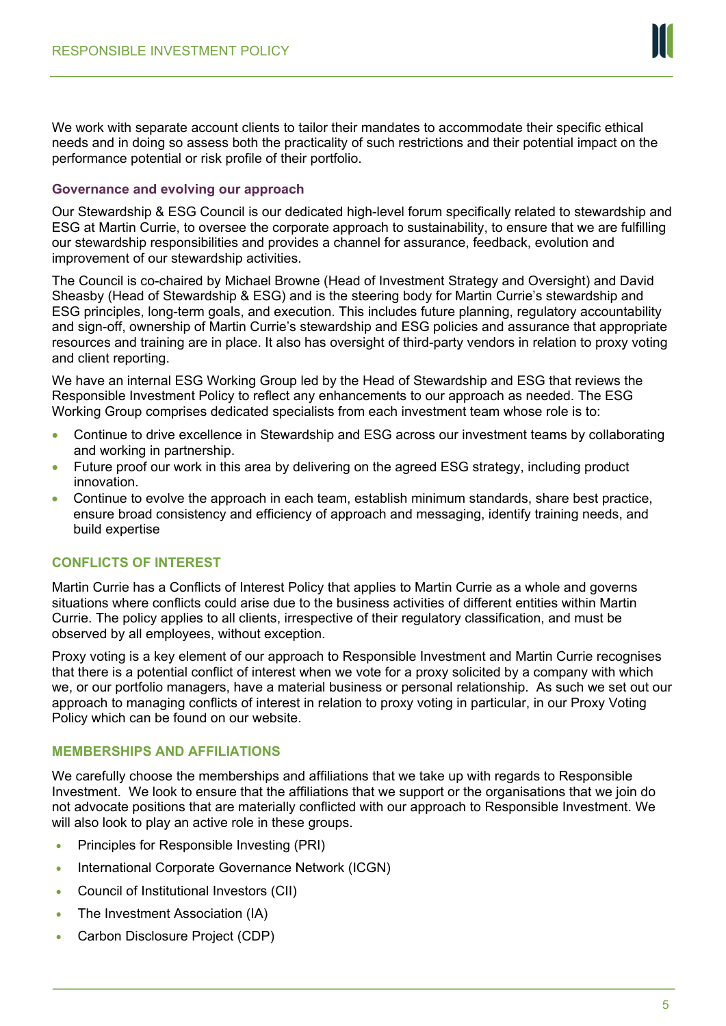

We work with separate account clients to tailor their mandates to accommodate their specific ethical needs and in doing so assess both the practicality of such restrictions and their potential impact on the performance potential or risk profile of their portfolio.

## **Governance and evolving our approach**

Our Stewardship & ESG Council is our dedicated high-level forum specifically related to stewardship and ESG at Martin Currie, to oversee the corporate approach to sustainability, to ensure that we are fulfilling our stewardship responsibilities and provides a channel for assurance, feedback, evolution and improvement of our stewardship activities.

The Council is co-chaired by Michael Browne (Head of Investment Strategy and Oversight) and David Sheasby (Head of Stewardship & ESG) and is the steering body for Martin Currie's stewardship and ESG principles, long-term goals, and execution. This includes future planning, regulatory accountability and sign-off, ownership of Martin Currie's stewardship and ESG policies and assurance that appropriate resources and training are in place. It also has oversight of third-party vendors in relation to proxy voting and client reporting.

We have an internal ESG Working Group led by the Head of Stewardship and ESG that reviews the Responsible Investment Policy to reflect any enhancements to our approach as needed. The ESG Working Group comprises dedicated specialists from each investment team whose role is to:

- Continue to drive excellence in Stewardship and ESG across our investment teams by collaborating and working in partnership.
- Future proof our work in this area by delivering on the agreed ESG strategy, including product innovation.
- Continue to evolve the approach in each team, establish minimum standards, share best practice, ensure broad consistency and efficiency of approach and messaging, identify training needs, and build expertise

# **CONFLICTS OF INTEREST**

Martin Currie has a Conflicts of Interest Policy that applies to Martin Currie as a whole and governs situations where conflicts could arise due to the business activities of different entities within Martin Currie. The policy applies to all clients, irrespective of their regulatory classification, and must be observed by all employees, without exception.

Proxy voting is a key element of our approach to Responsible Investment and Martin Currie recognises that there is a potential conflict of interest when we vote for a proxy solicited by a company with which we, or our portfolio managers, have a material business or personal relationship. As such we set out our approach to managing conflicts of interest in relation to proxy voting in particular, in our Proxy Voting Policy which can be found on our website.

# **MEMBERSHIPS AND AFFILIATIONS**

We carefully choose the memberships and affiliations that we take up with regards to Responsible Investment. We look to ensure that the affiliations that we support or the organisations that we join do not advocate positions that are materially conflicted with our approach to Responsible Investment. We will also look to play an active role in these groups.

- Principles for Responsible Investing (PRI)
- International Corporate Governance Network (ICGN)
- Council of Institutional Investors (CII)
- The Investment Association (IA)
- Carbon Disclosure Project (CDP)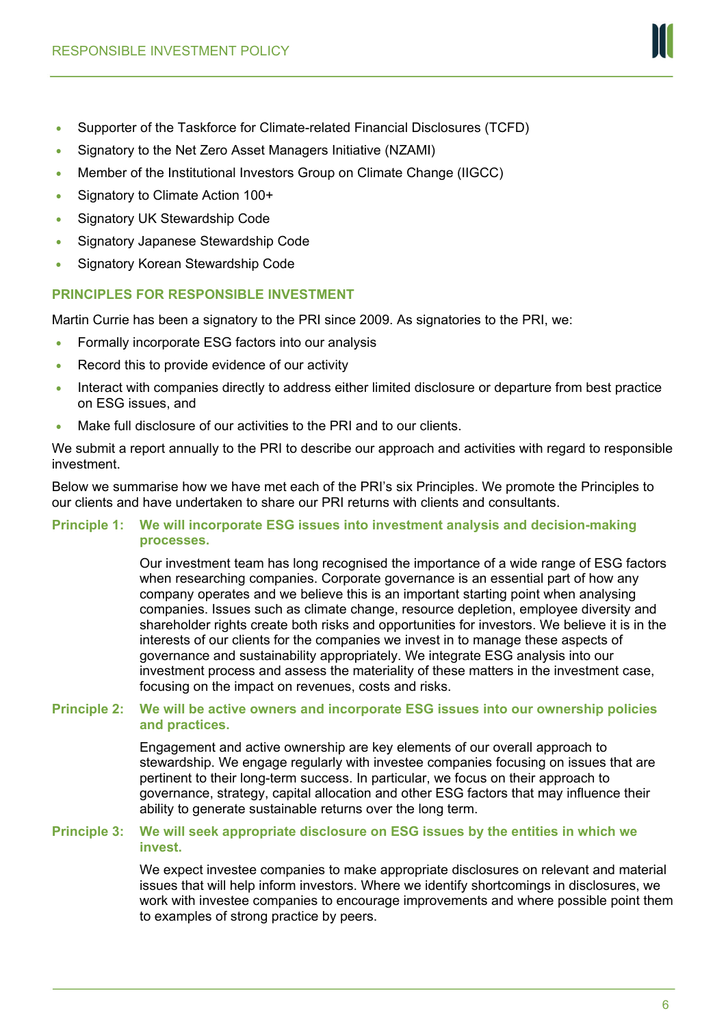- Supporter of the Taskforce for Climate-related Financial Disclosures (TCFD)
- Signatory to the Net Zero Asset Managers Initiative (NZAMI)
- Member of the Institutional Investors Group on Climate Change (IIGCC)
- Signatory to Climate Action 100+
- Signatory UK Stewardship Code
- Signatory Japanese Stewardship Code
- Signatory Korean Stewardship Code

# **PRINCIPLES FOR RESPONSIBLE INVESTMENT**

Martin Currie has been a signatory to the PRI since 2009. As signatories to the PRI, we:

- Formally incorporate ESG factors into our analysis
- Record this to provide evidence of our activity
- Interact with companies directly to address either limited disclosure or departure from best practice on ESG issues, and
- Make full disclosure of our activities to the PRI and to our clients.

We submit a report annually to the PRI to describe our approach and activities with regard to responsible investment.

Below we summarise how we have met each of the PRI's six Principles. We promote the Principles to our clients and have undertaken to share our PRI returns with clients and consultants.

## **Principle 1: We will incorporate ESG issues into investment analysis and decision-making processes.**

Our investment team has long recognised the importance of a wide range of ESG factors when researching companies. Corporate governance is an essential part of how any company operates and we believe this is an important starting point when analysing companies. Issues such as climate change, resource depletion, employee diversity and shareholder rights create both risks and opportunities for investors. We believe it is in the interests of our clients for the companies we invest in to manage these aspects of governance and sustainability appropriately. We integrate ESG analysis into our investment process and assess the materiality of these matters in the investment case, focusing on the impact on revenues, costs and risks.

## **Principle 2: We will be active owners and incorporate ESG issues into our ownership policies and practices.**

Engagement and active ownership are key elements of our overall approach to stewardship. We engage regularly with investee companies focusing on issues that are pertinent to their long-term success. In particular, we focus on their approach to governance, strategy, capital allocation and other ESG factors that may influence their ability to generate sustainable returns over the long term.

## **Principle 3: We will seek appropriate disclosure on ESG issues by the entities in which we invest.**

We expect investee companies to make appropriate disclosures on relevant and material issues that will help inform investors. Where we identify shortcomings in disclosures, we work with investee companies to encourage improvements and where possible point them to examples of strong practice by peers.